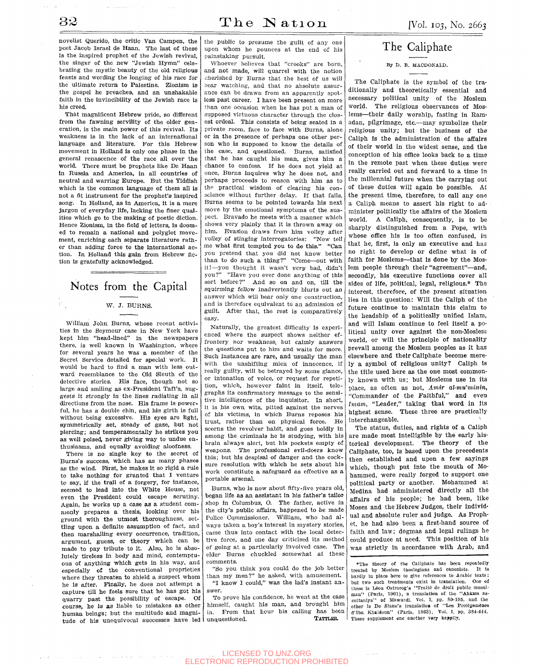novelist Querido, the critic Van Campen, the poet Jacob Israel de Haan. The last of these is the inspired prophet of the Jewish revival, the singer of the new "Jewish Hymn" celebrating the mystic beauty of the old religious feasts and wording the longing of his race for the ultimate return to Palestine. Zionism is the gospel he preaches, and an unshakable faith in the invincibility of the Jewish race is his creed.

That magnificent Hebrew pride, so different from the fawning servility of the older generation, is the main power of this revival. Its weakness is in the lack of an international language and literature. For this Hebrew movement in Holland is only one phase in the general renascence of the race all over the world. There must be prophets like De Haan in Russia and America, in all countries of neutral and warring Europe. But the Yiddish which is the common language of them all is not a fit instrument for the prophet's inspired song. In Holland, as in America, it is a mere jargon of everyday life, lacking the finer qualities which go to the making of poetic diction. Hence Zionism, in the field of letters, is doomed to remain a national and polyglot movement, enriching each separate literature rather than adding force to the international action. In Holland this gain from Hebrew fiction is gratefully acknowledged.

## Notes from the Capital

## W. J. BURNS.

William John Burns, whose recent activities in the Seymour case in New York have kept him "head-lined" in the newspapers there, is well known in Washington, where for several years he was a member of the Secret Service detailed for special work. It would be hard to find a man with less outward resemblance to the Old Sleuth of the detective stories. His face, though not so large and smiling as ex-President Taft's, suggests it strongly in the lines radiating in all directions from the nose. His frame is powerful, he has a double chin, and his girth is full without being excessive. His eyes are light, symmetrically set, steady of gaze, but not piercing; and temperamentally he strikes you as well poised, never giving way to undue enthusiasms, and equally avoiding aloofness.

There is no single key to the secret of Burns's success, which has as many phases as the wind. First, he makes it so rigid a rule to take nothing for granted that I venture to say, if the trail of a forgery, for instance, seemed to lead into the White House, not even the President could escape scrutiny. Again, he works up a case as a student commonly prepares a thesis, looking over his ground with the utmost thoroughness, settling upon a definite assumption of fact, and then marshalling every occurrence, tradition, argument, guess, or theory which can be made to pay tribute to it. Also, he is absolutely tireless in body and mind, contemptuous of anything which gets in his way, and especially of the conventional proprieties where they threaten to shield a suspect whom he is after. Finally, he does not attempt a capture till he feels sure that he has got his quarry past the possibihty of escape. Of course, he is as liable to mistakes as other human beings; but the multitude and magni-

the public to presume the guilt of any one upon whom he pounces at the end of his painstaking pursuit.

Whoever believes that "crooks" are born, and not made, will quarrel with the notion cherished by Burns that the best of us will bear watching, and that no absolute assurance can be drawn from an apparently spotless past career. I have been present on more than one occasion when he has put a man of .supposed virtuous character through the closest ordeal. This consists of being seated in a private room, face to face with Burns, alone or in the presence of perhaps one other person who is supposed to know the details of the case, and questioned. Burns, satisfied that he has caught his man, gives him a chance to confess. If he does not yield at once. Burns inquires why he does not, and perhaps proceeds to reason with him as to tho practical wisdom of clearing his conscience without further delay. If that fails, Burns seems to be pointed towards his next move by the emotional symptoms of the suspect. Bravado he meets with a manner which shows very plainly that it is thrown away on him. Evasion draws from him volley after volley of stinging interrogatories: "Now tell me what first tempted you to do this." "Can you pretend that you did not know better than to do such a thing?" "Come—out with it!—you thought it wasn't *very* bad, didn't you?" "Have you ever done anything of this sort before?" And so on and on, till the squirming fellow inadvertently blurts out an answer which will bear only one construction, and is therefore equivalent to an admission of guilt. After that, the rest is comparatively easy.

Naturally, the greatest difficulty is experienced where the suspect shows neither effrontery nor weakness, but calmly answers the questions put to him and waits for more. Such Instances are rare, and usually the man with the unshifting mien of innocence, if really guilty, will be betrayed by some glance, or intonation of voice, or request for repetition, which, however faint in itself, telegraphs its confirmatory message to the sensitive intelligence of the inquisitor. In short, it is his own wits, pitted against the nerves of his victims, in which Burns reposes his trust, rather than on physical force. He scorns the revolver habit, and goes boldly in among the criminals he is studying, with his brain always alert, but his pockets empty of weapons. The professional evil-doers know this; but his despisal of danger and the cocksure resolution with which he sets about his work constitute a safeguard as effective as a portable arsenal.

Burns, who is now about fifty-five years old, began life as an assistant in his father's tailor shop in Columbus, O. The father, active in the city's public affairs, happened to be made Police Commissioner. William, who had always taken a boy's interest in mystery stories, came thus into contact with the local detective force, and one day criticised its method of going at a particularly involved case. The elder Burns chuckled somewhat at these comments.

"So you think you could do the job better than my men?" he asked, with amusement. "I know I could," was the lad's instant answer.

tude of his unequivocal successes have led unquestioned. TATTLER. To prove his confidence, he went at the case himself, caught his man, and brought him in. From that hour his calling has been<br>uncuastioned<br>**TATTLER.** 

## The Caliphate

By D. B. MAODONALD.

The Caliphate is the symbol of the traditionally and theoretically essential and necessary political unity of the Moslem world. The religious observances of Moslems—their daily worship, fasting in Ramadan, pilgrimage, etc.—may symbolize their religious unity; but the business of the Caliph is the administration of the affairs of their world in the widest sense, and the conception of his office looks back to a time in the remote past when these duties were really carried out and forward to a time in the millennial future when the carrying out of these duties will again be possible. At the present time, therefore, to call any one a Caliph means to assert his right to administer politically the affairs of the Moslem world. A Caliph, consequently, is to be sharply distinguished from a Pope, with whose office his is too often confused, in that he, first, is only an executive and has no right to develop or define what is of faith for Moslems—that is done by the Moslem people through their "agreement"—and, secondly, his executive functions cover all sides of life, political, legal, religious.\* The interest, therefore, of the present situation lies in this question: Will the Caliph of the future continue to maintain this claim to the headship of a politically unified Islam, and will Islam continue to feel itself a political unity over against the non-Moslera world, or will the principle of nationality prevail among the Moslem peoples as it has elsewhere and their Caliphate become merely a symbol of religious unity? Caliph Is the title used here as the one most commonly known with us; but Moslems use in its place, as often as not, Amir al-mu'minin, "Commander of the Faithful," and even *Imam*, "Leader," taking that word in its highest sease. These three are practically interchangeable. These three are practical.

The status, duties, and rights of a Caliph are made most Intelligible by the early historical development. The theory of the Caliphate, too, is based upon the precedents then established and upon a few sayings which, though put into the mouth of Mohammed, were really forged to support one political party or another. Mohammed at Medina had administered directly all the affairs of his people; he had been, like Moses and the Hebrew Judges, their individual and absolute ruler and judge. As Prophet, he had also been a first-hand source of faith and law; dogmas and legal rulings he could produce at need. This position of his was strictly in accordance with Arab, and

•The theory of the Caliphate has been repeatedly treated by Moslem theologians and canonists. It is hardly in place here to give references to Arabic texts; but two such treatments exist in translation. One of these is Léon Ostrorog's "Traité de droit public musulman" (Paris, 1901), a translation of the "Ahkam assultaniya" of Mawardi, Vol. I, pp. 89-195, and the other is De Slane's translation of "Les Prolégemènes" d'Ibn Khaldoun" (Paris, 1863), Vol. I, pp. 384-444. These supplement one another very happily.